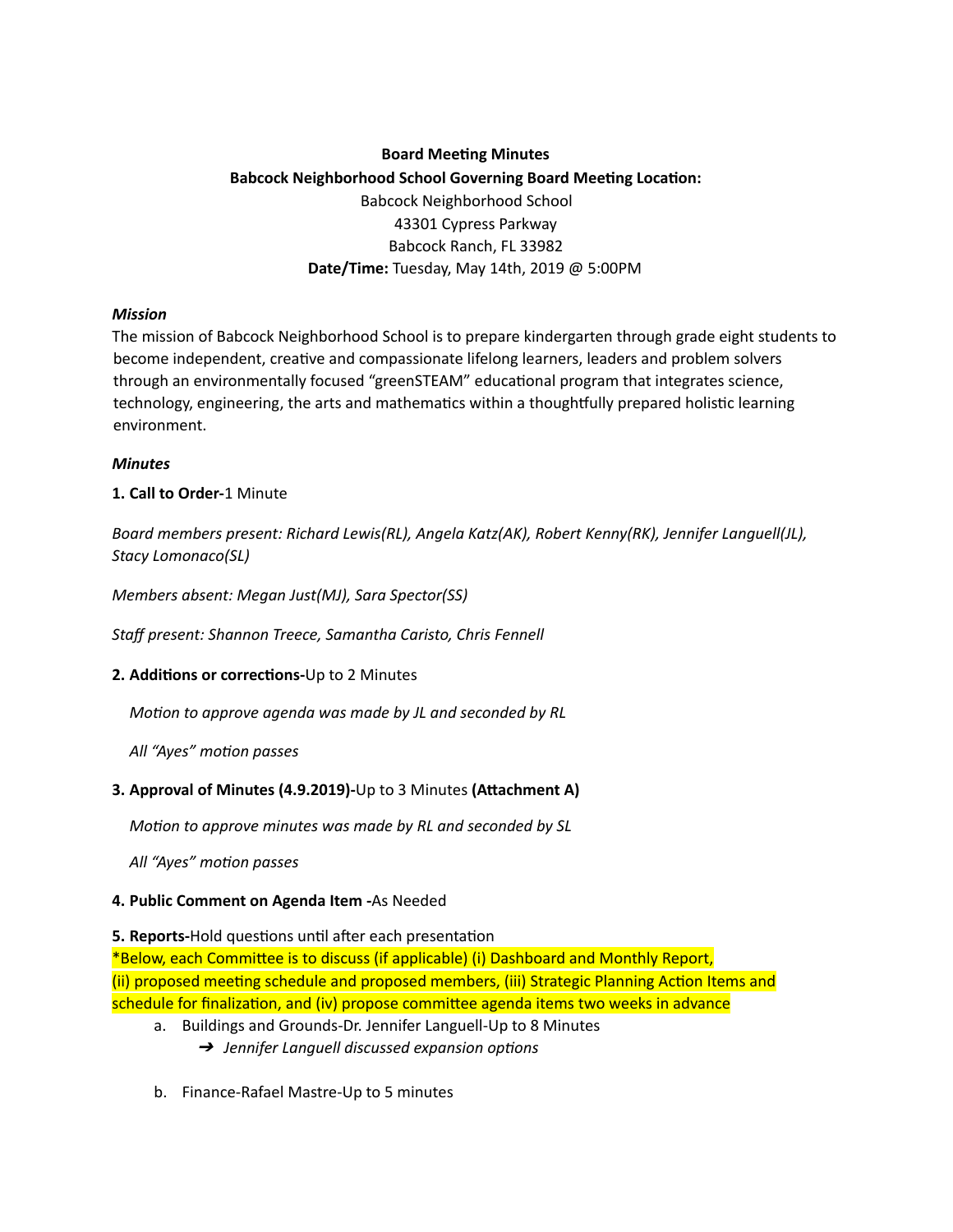# **Board Meeting Minutes Babcock Neighborhood School Governing Board Meeting Location:** Babcock Neighborhood School 43301 Cypress Parkway Babcock Ranch, FL 33982 **Date/Time:** Tuesday, May 14th, 2019 @ 5:00PM

#### *Mission*

The mission of Babcock Neighborhood School is to prepare kindergarten through grade eight students to become independent, creative and compassionate lifelong learners, leaders and problem solvers through an environmentally focused "greenSTEAM" educational program that integrates science, technology, engineering, the arts and mathematics within a thoughtfully prepared holistic learning environment.

### *Minutes*

# **1. Call to Order-**1 Minute

*Board members present: Richard Lewis(RL), Angela Katz(AK), Robert Kenny(RK), Jennifer Languell(JL), Stacy Lomonaco(SL)*

*Members absent: Megan Just(MJ), Sara Spector(SS)*

*Staff present: Shannon Treece, Samantha Caristo, Chris Fennell*

# **2. Additions or corrections-Up to 2 Minutes**

*Motion to approve agenda was made by JL and seconded by RL* 

*All* "Ayes" motion passes

# **3. Approval of Minutes (4.9.2019)-**Up to 3 Minutes (Attachment A)

*Moon to approve minutes was made by RL and seconded by SL*

*All* "Ayes" motion passes

# **4. Public Comment on Agenda Item -**As Needed

# **5. Reports-Hold questions until after each presentation**

\*Below, each Committee is to discuss (if applicable) (i) Dashboard and Monthly Report, (ii) proposed meeting schedule and proposed members, (iii) Strategic Planning Action Items and schedule for finalization, and (iv) propose committee agenda items two weeks in advance

- a. Buildings and Grounds-Dr. Jennifer Languell-Up to 8 Minutes → *Jennifer Languell discussed expansion options*
- b. Finance-Rafael Mastre-Up to 5 minutes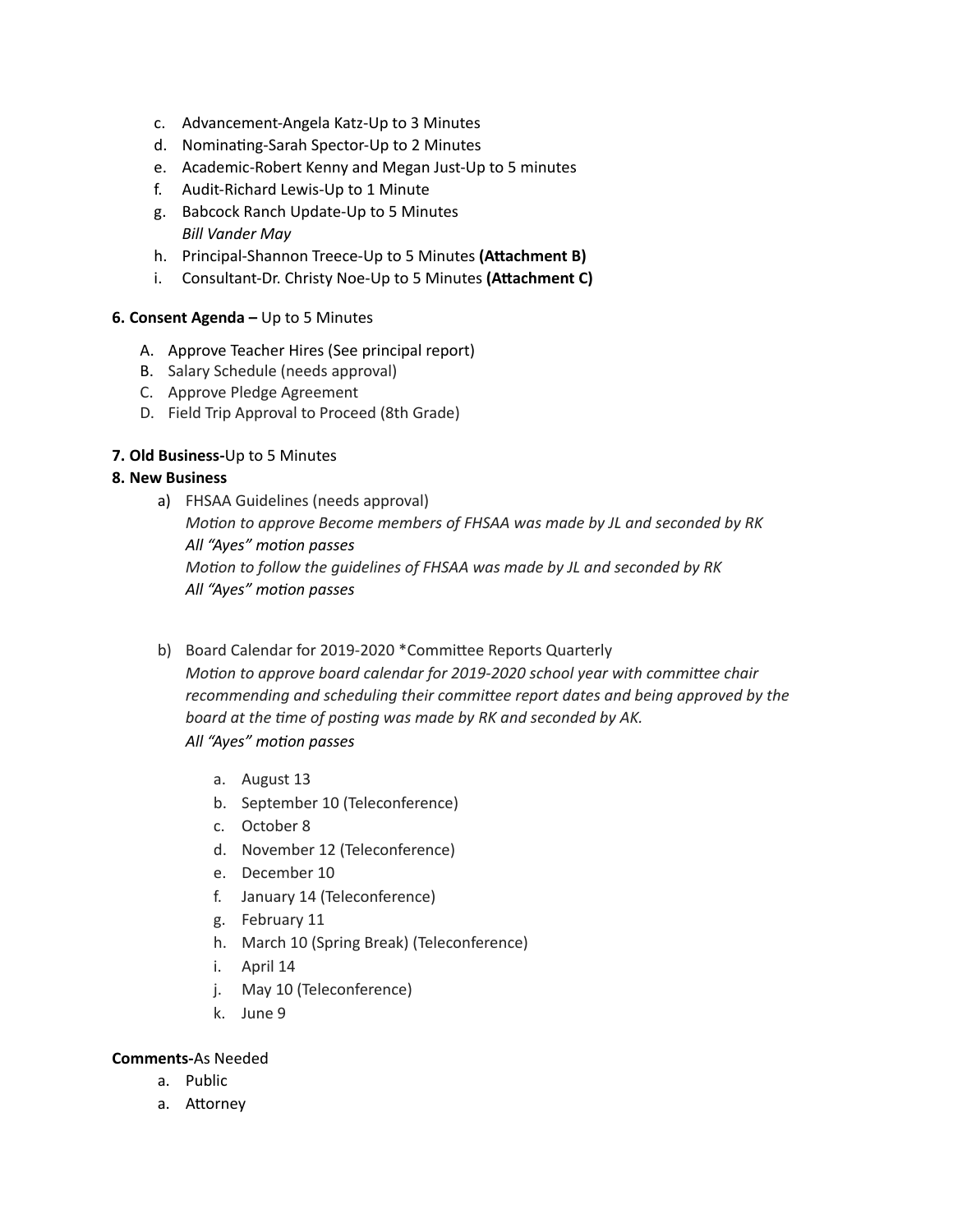- c. Advancement-Angela Katz-Up to 3 Minutes
- d. Nominating-Sarah Spector-Up to 2 Minutes
- e. Academic-Robert Kenny and Megan Just-Up to 5 minutes
- f. Audit-Richard Lewis-Up to 1 Minute
- g. Babcock Ranch Update-Up to 5 Minutes *Bill Vander May*
- h. Principal-Shannon Treece-Up to 5 Minutes (Attachment B)
- i. Consultant-Dr. Christy Noe-Up to 5 Minutes (Attachment C)

#### **6. Consent Agenda –** Up to 5 Minutes

- A. Approve Teacher Hires (See principal report)
- B. Salary Schedule (needs approval)
- C. Approve Pledge Agreement
- D. Field Trip Approval to Proceed (8th Grade)

### **7. Old Business-**Up to 5 Minutes

#### **8. New Business**

- a) FHSAA Guidelines (needs approval) *Moon to approve Become members of FHSAA was made by JL and seconded by RK All "Ayes" moon passes Moon to follow the guidelines of FHSAA was made by JL and seconded by RK* **All** "Ayes" motion passes
- b) Board Calendar for 2019-2020 \*Committee Reports Quarterly *Motion to approve board calendar for 2019-2020 school year with committee chair recommending and scheduling their commiee report dates and being approved by the board* at the time of posting was made by RK and seconded by AK. *All "Ayes" moon passes*
	- a. August 13
	- b. September 10 (Teleconference)
	- c. October 8
	- d. November 12 (Teleconference)
	- e. December 10
	- f. January 14 (Teleconference)
	- g. February 11
	- h. March 10 (Spring Break) (Teleconference)
	- i. April 14
	- j. May 10 (Teleconference)
	- k. June 9

#### **Comments-**As Needed

- a. Public
- a. Attorney